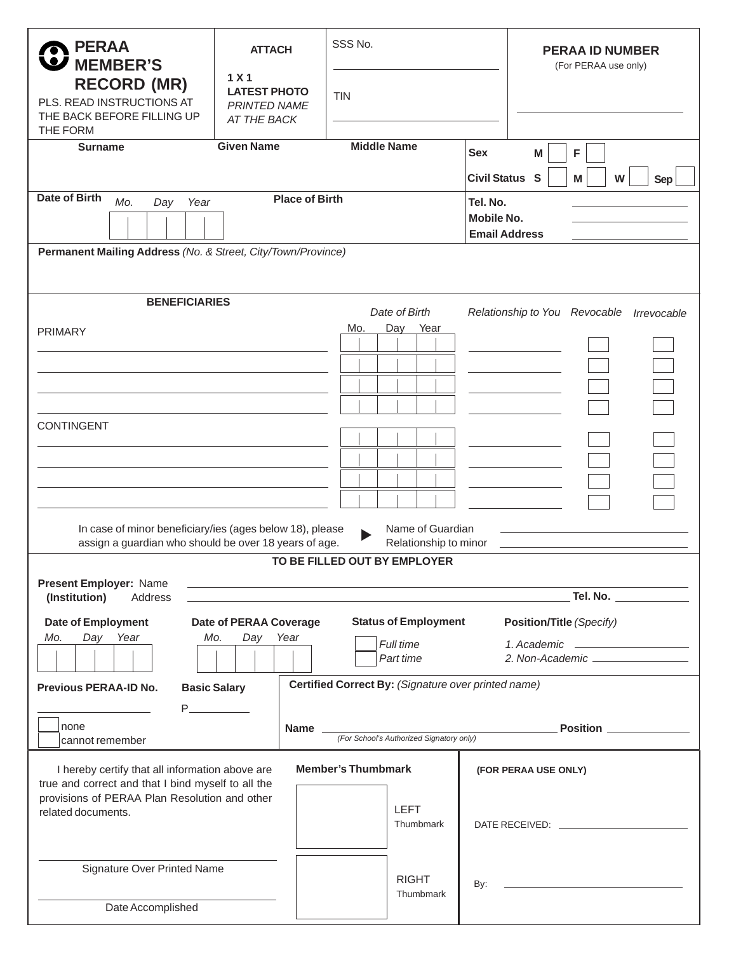| R PERAA<br>W MEMBER'S                                                                                | <b>ATTACH</b>                                                                 | SSS No.                     |                                                 | <b>PERAA ID NUMBER</b><br>(For PERAA use only) |  |
|------------------------------------------------------------------------------------------------------|-------------------------------------------------------------------------------|-----------------------------|-------------------------------------------------|------------------------------------------------|--|
| <b>RECORD (MR)</b><br>PLS. READ INSTRUCTIONS AT<br>THE BACK BEFORE FILLING UP<br>THE FORM            | 1 <sub>X</sub> 1<br><b>LATEST PHOTO</b><br><b>PRINTED NAME</b><br>AT THE BACK | <b>TIN</b>                  |                                                 |                                                |  |
| <b>Surname</b>                                                                                       | <b>Given Name</b>                                                             | <b>Middle Name</b>          | Sex                                             | M<br>F                                         |  |
|                                                                                                      |                                                                               |                             | Civil Status S                                  | M<br>W<br>Sep                                  |  |
| Date of Birth<br><b>Place of Birth</b><br>Mo.<br>Day<br>Year                                         |                                                                               | Tel. No.                    |                                                 |                                                |  |
|                                                                                                      | Mobile No.                                                                    |                             |                                                 |                                                |  |
|                                                                                                      |                                                                               |                             |                                                 | <b>Email Address</b>                           |  |
| Permanent Mailing Address (No. & Street, City/Town/Province)                                         |                                                                               |                             |                                                 |                                                |  |
|                                                                                                      |                                                                               |                             |                                                 |                                                |  |
| <b>BENEFICIARIES</b><br>Date of Birth                                                                |                                                                               |                             |                                                 | Relationship to You Revocable Irrevocable      |  |
| Mo.<br>Day<br>Year<br><b>PRIMARY</b>                                                                 |                                                                               |                             |                                                 |                                                |  |
|                                                                                                      |                                                                               |                             |                                                 | <b>Contract Contract Contract</b>              |  |
|                                                                                                      |                                                                               |                             |                                                 |                                                |  |
|                                                                                                      |                                                                               |                             |                                                 |                                                |  |
| <b>CONTINGENT</b>                                                                                    |                                                                               |                             |                                                 |                                                |  |
|                                                                                                      |                                                                               |                             |                                                 |                                                |  |
|                                                                                                      |                                                                               |                             |                                                 |                                                |  |
|                                                                                                      |                                                                               |                             | the control of the control of the               |                                                |  |
|                                                                                                      |                                                                               |                             |                                                 |                                                |  |
| In case of minor beneficiary/ies (ages below 18), please<br>Name of Guardian                         |                                                                               |                             |                                                 |                                                |  |
| assign a guardian who should be over 18 years of age.<br>Relationship to minor                       |                                                                               |                             |                                                 |                                                |  |
| TO BE FILLED OUT BY EMPLOYER                                                                         |                                                                               |                             |                                                 |                                                |  |
| Present Employer: Name<br>(Institution)<br>Address                                                   |                                                                               |                             |                                                 | Tel. No.                                       |  |
| Date of Employment                                                                                   | Date of PERAA Coverage                                                        | <b>Status of Employment</b> |                                                 | Position/Title (Specify)                       |  |
| Day Year<br>Mo.<br>Mo.<br>Day<br>Year<br>Full time                                                   |                                                                               |                             |                                                 |                                                |  |
| Part time                                                                                            |                                                                               |                             | 1. Academic <u>____________________________</u> |                                                |  |
| Certified Correct By: (Signature over printed name)<br><b>Basic Salary</b>                           |                                                                               |                             |                                                 |                                                |  |
| Previous PERAA-ID No.                                                                                |                                                                               |                             |                                                 |                                                |  |
| Inone                                                                                                | Name                                                                          |                             |                                                 | Position                                       |  |
| (For School's Authorized Signatory only)<br>cannot remember                                          |                                                                               |                             |                                                 |                                                |  |
| <b>Member's Thumbmark</b><br>I hereby certify that all information above are<br>(FOR PERAA USE ONLY) |                                                                               |                             |                                                 |                                                |  |
| true and correct and that I bind myself to all the                                                   |                                                                               |                             |                                                 |                                                |  |
| provisions of PERAA Plan Resolution and other<br>related documents.                                  | LEFT                                                                          |                             |                                                 |                                                |  |
|                                                                                                      |                                                                               | Thumbmark                   |                                                 |                                                |  |
|                                                                                                      |                                                                               |                             |                                                 |                                                |  |
| Signature Over Printed Name                                                                          | <b>RIGHT</b>                                                                  |                             |                                                 |                                                |  |
|                                                                                                      | Thumbmark                                                                     | By:                         |                                                 |                                                |  |
| Date Accomplished                                                                                    |                                                                               |                             |                                                 |                                                |  |